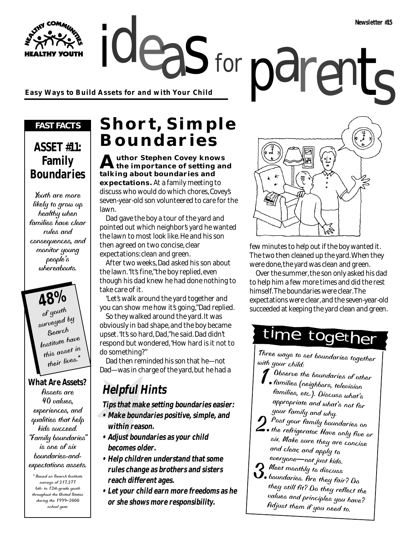**Easy Ways to Build Assets for and with Your Child**

#### *FAST FACTS*

**THY YOUTH** 

#### **ASSET #11: Family Boundaries**

Youth are more likely to grow up healthy when families have clear rules and consequences, and monitor young people's whereabouts.

**48%** of youth surveyed by Search Institute have this asset in their lives.\*

#### **What Are Assets?**

Assets are 40 values, experiences, and qualities that help kids succeed. "Family boundaries" is one of six boundaries-andexpectations assets.

\* Based on Search Institute surveys of 217,277 6th- to 12th-grade youth throughout the United States during the 1999–2000 school year.

### **Short, Simple Boundaries**

for

**Author Stephen Covey knows the importance of setting and talking about boundaries and expectations.** At a family meeting to discuss who would do which chores, Covey's seven-year-old son volunteered to care for the lawn.

Dad gave the boy a tour of the yard and pointed out which neighbor's yard he wanted the lawn to most look like. He and his son then agreed on two concise, clear expectations: clean and green.

After two weeks, Dad asked his son about the lawn. "It's fine," the boy replied, even though his dad knew he had done nothing to take care of it.

"Let's walk around the yard together and you can show me how it's going," Dad replied.

So they walked around the yard. It was obviously in bad shape, and the boy became upset. "It's so hard, Dad," he said. Dad didn't respond but wondered, "How hard is it not to do something?"

Dad then reminded his son that he—not Dad—was in charge of the yard, but he had a

### **Helpful Hints**

**Tips that make setting boundaries easier:**

- **Make boundaries positive, simple, and within reason.**
- **Adjust boundaries as your child becomes older.**
- **Help children understand that some rules change as brothers and sisters reach different ages.**
- **Let your child earn more freedoms as he or she shows more responsibility.**



few minutes to help out if the boy wanted it. The two then cleaned up the yard. When they were done, the yard was clean and green.

Over the summer, the son only asked his dad to help him a few more times and did the rest himself. The boundaries were clear. The expectations were clear, and the seven-year-old succeeded at keeping the yard clean and green.

## time together

Three ways to set boundaries together with your child:

- Observe the boundaries of other families (neighbors, television families, etc.). Discuss what's appropriate and what's not for your family and why.
- 2.Post your family boundaries on  $\angle$  , the refrigerator. Have only five or six. Make sure they are concise and clear, and apply to everyone—not just kids.
- $2$  Meet monthly to discuss
- $\mathcal{S}_{\bullet}$  boundaries. Are they fair? Do they still fit? Do they reflect the values and principles you have? Adjust them if you need to.